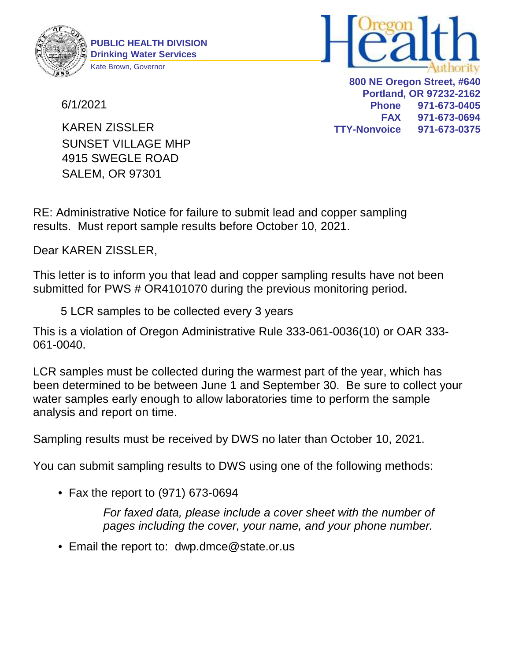

6/1/2021



**800 NE Oregon Street, #640 Portland, OR 97232-2162 Phone 971-673-0405 FAX 971-673-0694 TTY-Nonvoice 971-673-0375**

4915 SWEGLE ROAD SALEM, OR 97301 SUNSET VILLAGE MHP KAREN ZISSLER

RE: Administrative Notice for failure to submit lead and copper sampling results. Must report sample results before October 10, 2021.

Dear KAREN ZISSLER,

This letter is to inform you that lead and copper sampling results have not been submitted for PWS # OR4101070 during the previous monitoring period.

5 LCR samples to be collected every 3 years

This is a violation of Oregon Administrative Rule 333-061-0036(10) or OAR 333- 061-0040.

LCR samples must be collected during the warmest part of the year, which has been determined to be between June 1 and September 30. Be sure to collect your water samples early enough to allow laboratories time to perform the sample analysis and report on time.

Sampling results must be received by DWS no later than October 10, 2021.

You can submit sampling results to DWS using one of the following methods:

• Fax the report to (971) 673-0694

For faxed data, please include a cover sheet with the number of pages including the cover, your name, and your phone number.

• Email the report to: dwp.dmce@state.or.us